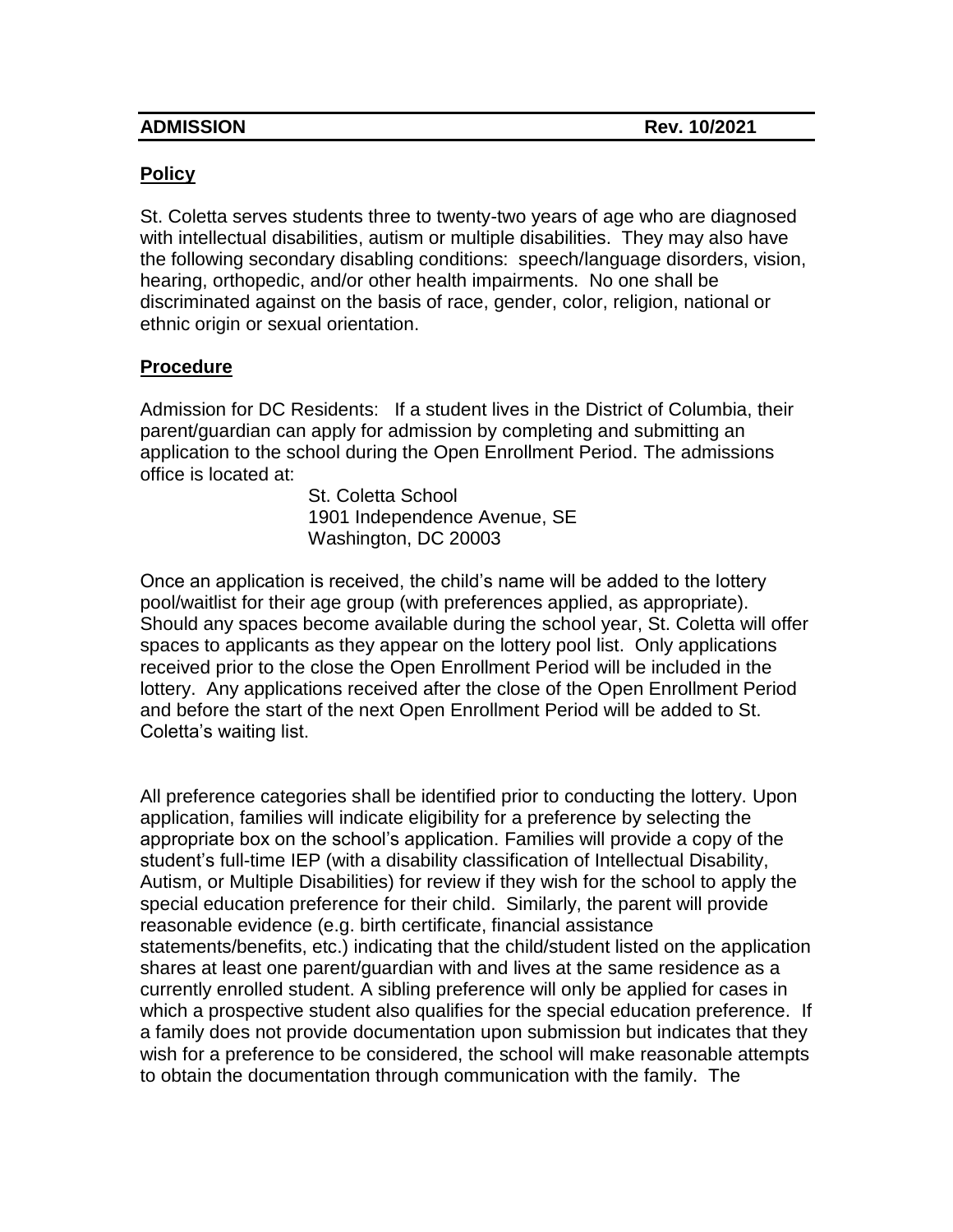| <b>ADMISSION</b> |  |
|------------------|--|
|                  |  |

## **Policy**

St. Coletta serves students three to twenty-two years of age who are diagnosed with intellectual disabilities, autism or multiple disabilities. They may also have the following secondary disabling conditions: speech/language disorders, vision, hearing, orthopedic, and/or other health impairments. No one shall be discriminated against on the basis of race, gender, color, religion, national or ethnic origin or sexual orientation.

## **Procedure**

Admission for DC Residents: If a student lives in the District of Columbia, their parent/guardian can apply for admission by completing and submitting an application to the school during the Open Enrollment Period. The admissions office is located at:

> St. Coletta School 1901 Independence Avenue, SE Washington, DC 20003

Once an application is received, the child's name will be added to the lottery pool/waitlist for their age group (with preferences applied, as appropriate). Should any spaces become available during the school year, St. Coletta will offer spaces to applicants as they appear on the lottery pool list. Only applications received prior to the close the Open Enrollment Period will be included in the lottery. Any applications received after the close of the Open Enrollment Period and before the start of the next Open Enrollment Period will be added to St. Coletta's waiting list.

All preference categories shall be identified prior to conducting the lottery. Upon application, families will indicate eligibility for a preference by selecting the appropriate box on the school's application. Families will provide a copy of the student's full-time IEP (with a disability classification of Intellectual Disability, Autism, or Multiple Disabilities) for review if they wish for the school to apply the special education preference for their child. Similarly, the parent will provide reasonable evidence (e.g. birth certificate, financial assistance statements/benefits, etc.) indicating that the child/student listed on the application shares at least one parent/guardian with and lives at the same residence as a currently enrolled student. A sibling preference will only be applied for cases in which a prospective student also qualifies for the special education preference. If a family does not provide documentation upon submission but indicates that they wish for a preference to be considered, the school will make reasonable attempts to obtain the documentation through communication with the family. The